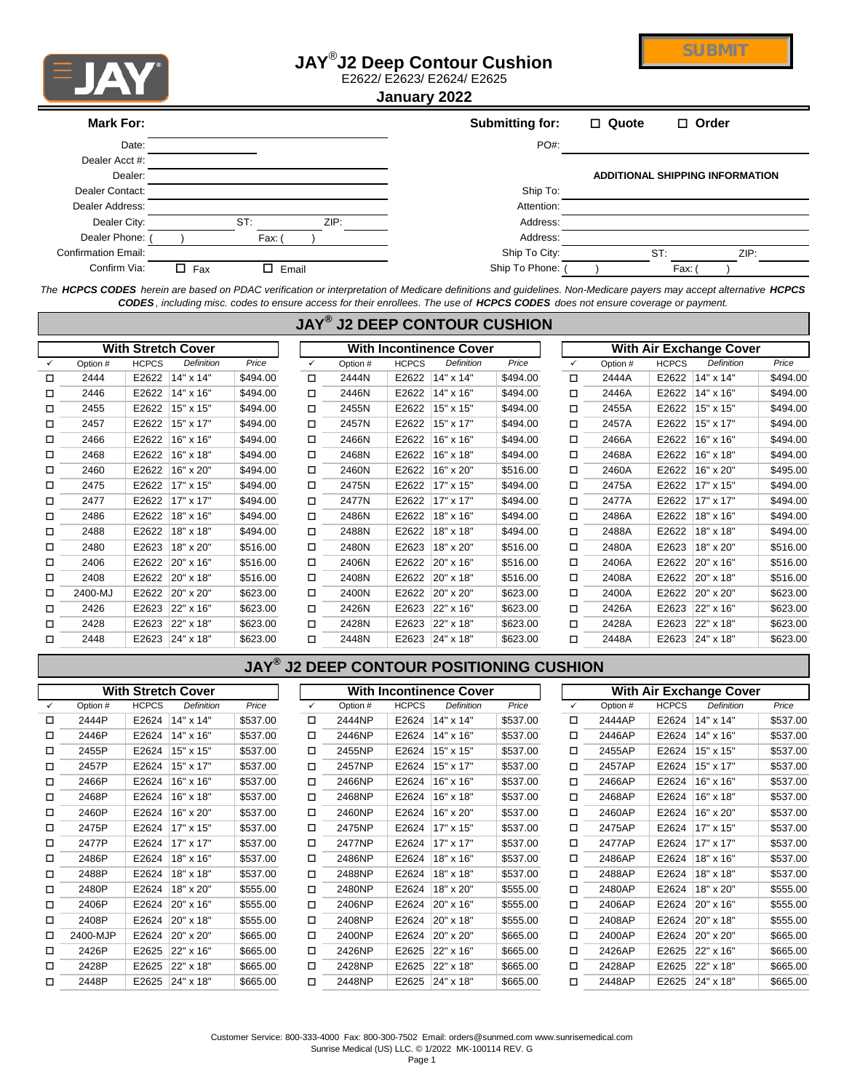

## **JAY**® **J2 Deep Contour Cushion**



E2622/ E2623/ E2624/ E2625

**January 2022**

| <b>Mark For:</b>           |               |       | Submitting for: | $\Box$ Quote | $\Box$ Order                           |
|----------------------------|---------------|-------|-----------------|--------------|----------------------------------------|
| Date:                      |               |       | $PO#$ :         |              |                                        |
| Dealer Acct #:             |               |       |                 |              |                                        |
| Dealer:                    |               |       |                 |              | <b>ADDITIONAL SHIPPING INFORMATION</b> |
| Dealer Contact:            |               |       | Ship To:        |              |                                        |
| Dealer Address:            |               |       | Attention:      |              |                                        |
| Dealer City:               | ST            | ZIP:  | Address:        |              |                                        |
| Dealer Phone:              | Fax:          |       | Address:        |              |                                        |
| <b>Confirmation Email:</b> |               |       | Ship To City:   | ST:          | ZIP:                                   |
| Confirm Via:               | $\square$ Fax | Email | Ship To Phone:  |              | Fax:                                   |

*The HCPCS CODES herein are based on PDAC verification or interpretation of Medicare definitions and guidelines. Non-Medicare payers may accept alternative HCPCS CODES , including misc. codes to ensure access for their enrollees. The use of HCPCS CODES does not ensure coverage or payment.*

|        | $JAY^{\circledR}$<br>J2 DEEP CONTOUR CUSHION |              |                           |          |        |          |                                |                   |          |                                |          |              |                   |          |
|--------|----------------------------------------------|--------------|---------------------------|----------|--------|----------|--------------------------------|-------------------|----------|--------------------------------|----------|--------------|-------------------|----------|
|        |                                              |              | <b>With Stretch Cover</b> |          |        |          | <b>With Incontinence Cover</b> |                   |          | <b>With Air Exchange Cover</b> |          |              |                   |          |
| ✓      | Option #                                     | <b>HCPCS</b> | <b>Definition</b>         | Price    | ✓      | Option # | <b>HCPCS</b>                   | <b>Definition</b> | Price    | ✓                              | Option # | <b>HCPCS</b> | <b>Definition</b> | Price    |
| $\Box$ | 2444                                         | E2622        | 14" x 14"                 | \$494.00 | о      | 2444N    | E2622                          | 14" x 14"         | \$494.00 | $\Box$                         | 2444A    | E2622        | 14" x 14"         | \$494.00 |
| □      | 2446                                         | E2622        | 14" x 16"                 | \$494.00 | □      | 2446N    | E2622                          | 14" x 16"         | \$494.00 | □                              | 2446A    | E2622        | 14" x 16"         | \$494.00 |
| □      | 2455                                         | E2622        | 15" x 15"                 | \$494.00 | $\Box$ | 2455N    | E2622                          | 15" x 15"         | \$494.00 | П                              | 2455A    | E2622        | 15" x 15"         | \$494.00 |
| □      | 2457                                         | E2622        | 15" x 17"                 | \$494.00 | о      | 2457N    | E2622                          | 15" x 17"         | \$494.00 | □                              | 2457A    | E2622        | 15" x 17"         | \$494.00 |
| □      | 2466                                         | E2622        | 16" x 16"                 | \$494.00 | П      | 2466N    | E2622                          | 16" x 16"         | \$494.00 | $\Box$                         | 2466A    | E2622        | 16" x 16"         | \$494.00 |
| □      | 2468                                         | E2622        | 16" x 18"                 | \$494.00 | о      | 2468N    | E2622                          | 16" x 18"         | \$494.00 | □                              | 2468A    | E2622        | 16" x 18"         | \$494.00 |
| $\Box$ | 2460                                         | E2622        | 16" x 20"                 | \$494.00 | о      | 2460N    | E2622                          | 16" x 20"         | \$516.00 | $\Box$                         | 2460A    | E2622        | 16" x 20"         | \$495.00 |
| □      | 2475                                         | E2622        | 17" x 15"                 | \$494.00 | □      | 2475N    | E2622                          | 17" x 15"         | \$494.00 | □                              | 2475A    | E2622        | 17" x 15"         | \$494.00 |
| □      | 2477                                         | E2622        | 17" x 17"                 | \$494.00 | □      | 2477N    | E2622                          | 17" x 17"         | \$494.00 | П                              | 2477A    | E2622        | 17" x 17"         | \$494.00 |
| □      | 2486                                         | E2622        | 18" x 16"                 | \$494.00 | О      | 2486N    | E2622                          | 18" x 16"         | \$494.00 | П                              | 2486A    | E2622        | 18" x 16"         | \$494.00 |
| $\Box$ | 2488                                         | E2622        | 18" x 18"                 | \$494.00 | О      | 2488N    | E2622                          | 18" x 18"         | \$494.00 | П                              | 2488A    | E2622        | 18" x 18"         | \$494.00 |
| $\Box$ | 2480                                         | E2623        | 18" x 20"                 | \$516.00 | $\Box$ | 2480N    | E2623                          | 18" x 20"         | \$516.00 | $\Box$                         | 2480A    | E2623        | 18" x 20"         | \$516.00 |
| □      | 2406                                         | E2622        | 20" x 16"                 | \$516.00 | □      | 2406N    | E2622                          | 20" x 16"         | \$516.00 | □                              | 2406A    | E2622        | 20" x 16"         | \$516.00 |
| $\Box$ | 2408                                         | E2622        | 20" x 18"                 | \$516.00 | О      | 2408N    | E2622                          | 20" x 18"         | \$516.00 | $\Box$                         | 2408A    | E2622        | 20" x 18"         | \$516.00 |
| □      | 2400-MJ                                      | E2622        | 20" x 20"                 | \$623.00 | О      | 2400N    | E2622                          | 20" x 20"         | \$623.00 | □                              | 2400A    | E2622        | 20" x 20"         | \$623.00 |
| □      | 2426                                         | E2623        | 22" x 16"                 | \$623.00 | О      | 2426N    | E2623                          | 22" x 16"         | \$623.00 | $\Box$                         | 2426A    | E2623        | 22" x 16"         | \$623.00 |
| □      | 2428                                         | E2623        | 22" x 18"                 | \$623.00 | □      | 2428N    | E2623                          | 22" x 18"         | \$623.00 | □                              | 2428A    | E2623        | 22" x 18"         | \$623.00 |
| $\Box$ | 2448                                         | E2623        | 24" x 18"                 | \$623.00 | □      | 2448N    | E2623                          | 24" x 18"         | \$623.00 | □                              | 2448A    | E2623        | 24" x 18"         | \$623.00 |

## **JAY® J2 DEEP CONTOUR POSITIONING CUSHION**

|              |          |              | <b>With Stretch Cover</b> |          |   |          |              | <b>With Incontinence Cover</b> |          |              | <b>With Air Exchange Cover</b> |              |            |          |  |  |  |
|--------------|----------|--------------|---------------------------|----------|---|----------|--------------|--------------------------------|----------|--------------|--------------------------------|--------------|------------|----------|--|--|--|
| $\checkmark$ | Option # | <b>HCPCS</b> | Definition                | Price    | ✓ | Option # | <b>HCPCS</b> | <b>Definition</b>              | Price    | $\checkmark$ | Option #                       | <b>HCPCS</b> | Definition | Price    |  |  |  |
| □            | 2444P    | E2624        | 14" x 14"                 | \$537.00 | □ | 2444NP   | E2624        | 14" x 14"                      | \$537.00 | □            | 2444AP                         | E2624        | 14" x 14"  | \$537.00 |  |  |  |
| ◻            | 2446P    | E2624        | 14" x 16"                 | \$537.00 | □ | 2446NP   | E2624        | 14" x 16"                      | \$537.00 | □            | 2446AP                         | E2624        | 14" x 16"  | \$537.00 |  |  |  |
| □            | 2455P    | E2624        | 15" x 15"                 | \$537.00 | □ | 2455NP   | E2624        | 15" x 15"                      | \$537.00 | □            | 2455AP                         | E2624        | 15" x 15"  | \$537.00 |  |  |  |
| □            | 2457P    | E2624        | 15" x 17"                 | \$537.00 | □ | 2457NP   | E2624        | 15" x 17"                      | \$537.00 | □            | 2457AP                         | E2624        | 15" x 17"  | \$537.00 |  |  |  |
| □            | 2466P    | E2624        | 16" x 16"                 | \$537.00 | □ | 2466NP   | E2624        | 16" x 16"                      | \$537.00 | □            | 2466AP                         | E2624        | 16" x 16"  | \$537.00 |  |  |  |
| □            | 2468P    | E2624        | 16" x 18"                 | \$537.00 | □ | 2468NP   | E2624        | 16" x 18"                      | \$537.00 | ◻            | 2468AP                         | E2624        | 16" x 18"  | \$537.00 |  |  |  |
| □            | 2460P    | E2624        | 16" x 20"                 | \$537.00 | □ | 2460NP   | E2624        | 16" x 20"                      | \$537.00 | □            | 2460AP                         | E2624        | 16" x 20"  | \$537.00 |  |  |  |
| □            | 2475P    | E2624        | 17" x 15"                 | \$537.00 | □ | 2475NP   | E2624        | 17" x 15"                      | \$537.00 | □            | 2475AP                         | E2624        | 17" x 15"  | \$537.00 |  |  |  |
| □            | 2477P    | E2624        | 17" x 17"                 | \$537.00 | □ | 2477NP   | E2624        | 17" x 17"                      | \$537.00 | □            | 2477AP                         | E2624        | 17" x 17"  | \$537.00 |  |  |  |
| □            | 2486P    | E2624        | 18" x 16"                 | \$537.00 | □ | 2486NP   | E2624        | 18" x 16"                      | \$537.00 | □            | 2486AP                         | E2624        | 18" x 16"  | \$537.00 |  |  |  |
| □            | 2488P    | E2624        | 18" x 18"                 | \$537.00 | □ | 2488NP   | E2624        | 18" x 18"                      | \$537.00 | □            | 2488AP                         | E2624        | 18" x 18"  | \$537.00 |  |  |  |
| □            | 2480P    | E2624        | 18" x 20"                 | \$555.00 | □ | 2480NP   | E2624        | 18" x 20"                      | \$555.00 | □            | 2480AP                         | E2624        | 18" x 20"  | \$555.00 |  |  |  |
| □            | 2406P    | E2624        | 20" x 16"                 | \$555.00 | □ | 2406NP   | E2624        | 20" x 16"                      | \$555.00 | ◻            | 2406AP                         | E2624        | 20" x 16"  | \$555.00 |  |  |  |
| □            | 2408P    | E2624        | 20" x 18"                 | \$555.00 | □ | 2408NP   | E2624        | 20" x 18"                      | \$555.00 | □            | 2408AP                         | E2624        | 20" x 18"  | \$555.00 |  |  |  |
| ◻            | 2400-MJP | E2624        | 20" x 20"                 | \$665.00 | □ | 2400NP   | E2624        | 20" x 20"                      | \$665.00 | □            | 2400AP                         | E2624        | 20" x 20"  | \$665.00 |  |  |  |
| ◻            | 2426P    | E2625        | 22" x 16"                 | \$665.00 | □ | 2426NP   | E2625        | 22" x 16"                      | \$665.00 | □            | 2426AP                         | E2625        | 22" x 16"  | \$665.00 |  |  |  |
| □            | 2428P    | E2625        | 22" x 18"                 | \$665.00 | □ | 2428NP   | E2625        | 22" x 18"                      | \$665.00 | □            | 2428AP                         | E2625        | 22" x 18"  | \$665.00 |  |  |  |
| □            | 2448P    | E2625        | 24" x 18"                 | \$665.00 | □ | 2448NP   | E2625        | 24" x 18"                      | \$665.00 | □            | 2448AP                         | E2625        | 24" x 18"  | \$665.00 |  |  |  |

Customer Service: 800-333-4000 Fax: 800-300-7502 Email: orders@sunmed.com www.sunrisemedical.com Sunrise Medical (US) LLC. © 1/2022 MK-100114 REV. G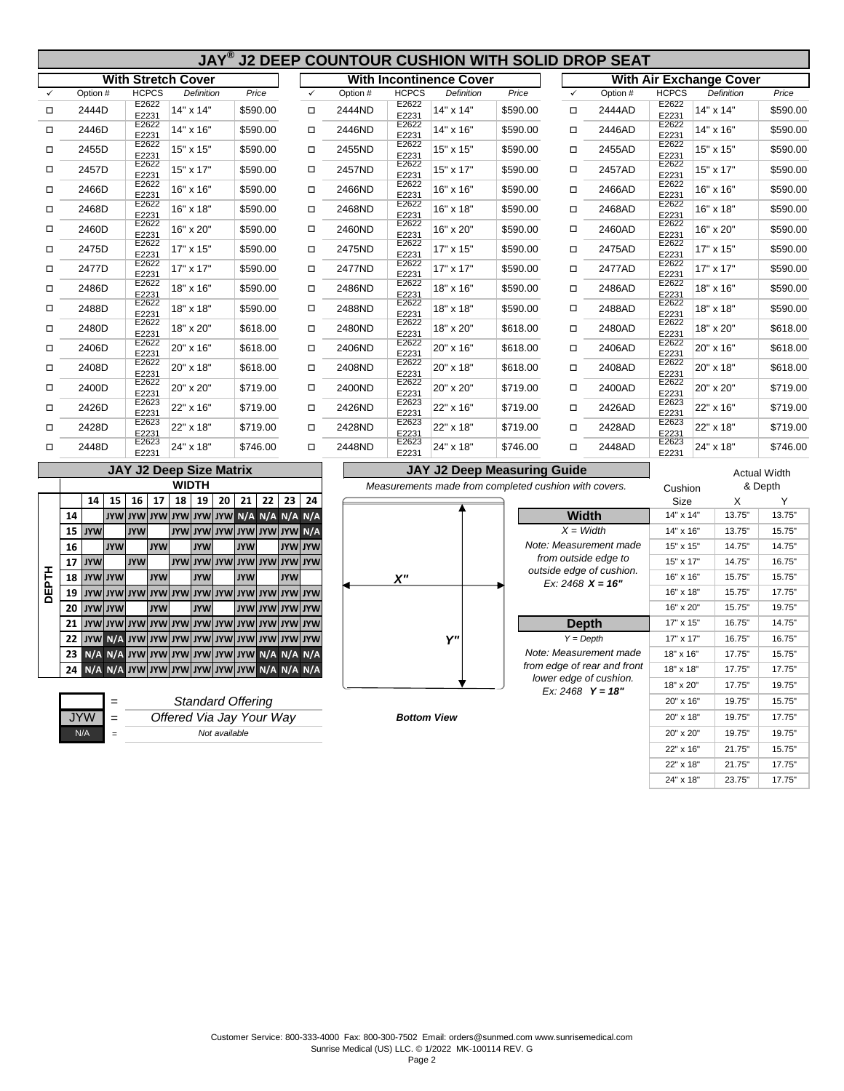|              | JAY® J2 DEEP COUNTOUR CUSHION WITH SOLID DROP SEAT |                                              |              |                 |    |            |                |                                    |          |                                                           |                                                       |          |                    |                             |                |                                |          |
|--------------|----------------------------------------------------|----------------------------------------------|--------------|-----------------|----|------------|----------------|------------------------------------|----------|-----------------------------------------------------------|-------------------------------------------------------|----------|--------------------|-----------------------------|----------------|--------------------------------|----------|
|              |                                                    | <b>With Stretch Cover</b>                    |              |                 |    |            |                |                                    |          |                                                           | <b>With Incontinence Cover</b>                        |          |                    |                             |                | <b>With Air Exchange Cover</b> |          |
| $\checkmark$ | Option #                                           | <b>HCPCS</b>                                 |              | Definition      |    | Price      |                | $\checkmark$                       | Option # | <b>HCPCS</b>                                              | Definition                                            | Price    | $\checkmark$       | Option #                    |                | Definition                     | Price    |
| □            | 2444D                                              | E2622<br>E2231                               | 14" x 14"    |                 |    |            | \$590.00       | $\Box$                             | 2444ND   | E2622<br>E2231                                            | 14" x 14"                                             | \$590.00 | $\Box$             | 2444AD                      | E2622<br>E2231 | 14" x 14"                      | \$590.00 |
| □            | 2446D                                              | E2622<br>E2231                               | 14" x 16"    |                 |    |            | \$590.00       | $\Box$                             | 2446ND   | E2622<br>E2231                                            | 14" x 16"                                             | \$590.00 | $\Box$             | 2446AD                      | E2622<br>E2231 | 14" x 16"                      | \$590.00 |
| $\Box$       | 2455D                                              | E2622<br>E2231                               | 15" x 15"    |                 |    | \$590.00   |                | $\Box$                             | 2455ND   | E2622<br>E2231                                            | 15" x 15"                                             | \$590.00 | $\Box$             | 2455AD                      | E2622<br>E2231 | 15" x 15"                      | \$590.00 |
| □            | 2457D                                              | E2622<br>E2231                               | 15" x 17"    |                 |    |            | \$590.00       | $\Box$                             | 2457ND   | E2622<br>E2231                                            | 15" x 17"                                             | \$590.00 | $\Box$             | 2457AD                      | E2622<br>E2231 | 15" x 17"                      | \$590.00 |
| □            | 2466D                                              | E2622<br>E2231                               | 16" x 16"    |                 |    |            | \$590.00       | $\Box$                             | 2466ND   | E2622<br>E2231                                            | 16" x 16"                                             | \$590.00 | $\Box$             | 2466AD                      | E2622<br>E2231 | 16" x 16"                      | \$590.00 |
| □            | 2468D                                              | E2622<br>E2231                               | 16" x 18"    |                 |    |            | \$590.00       | $\Box$                             | 2468ND   | E2622<br>E2231                                            | 16" x 18"                                             | \$590.00 | □                  | 2468AD                      | E2622<br>E2231 | 16" x 18"                      | \$590.00 |
| □            | 2460D                                              | E2622<br>E2231                               | 16" x 20"    |                 |    |            | \$590.00       | $\Box$                             | 2460ND   | E2622<br>E2231                                            | 16" x 20"                                             | \$590.00 | $\Box$             | 2460AD                      | E2622<br>E2231 | 16" x 20"                      | \$590.00 |
| □            | 2475D                                              | E2622<br>E2231                               | 17" x 15"    |                 |    |            | \$590.00       | $\Box$                             | 2475ND   | E2622<br>E2231                                            | 17" x 15"                                             | \$590.00 | $\Box$             | 2475AD                      | E2622<br>E2231 | 17" x 15"                      | \$590.00 |
| □            | 2477D                                              | E2622<br>E2231                               | 17" x 17"    |                 |    |            | \$590.00       | $\Box$                             | 2477ND   | E2622<br>E2231                                            | 17" x 17"                                             | \$590.00 | $\Box$             | 2477AD                      | E2622<br>E2231 | 17" x 17"                      | \$590.00 |
| □            | 2486D                                              | E2622<br>E2231                               | 18" x 16"    |                 |    |            | \$590.00       | $\Box$                             | 2486ND   | E2622<br>E2231                                            | 18" x 16"                                             | \$590.00 | □                  | 2486AD                      | E2622<br>E2231 | 18" x 16"                      | \$590.00 |
| □            | 2488D                                              | E2622<br>E2231                               | 18" x 18"    |                 |    |            | \$590.00       | $\Box$                             | 2488ND   | E2622<br>E2231                                            | 18" x 18"                                             | \$590.00 | $\Box$             | 2488AD                      | E2622<br>E2231 | 18" x 18"                      | \$590.00 |
| □            | 2480D                                              | E2622<br>E2231                               | 18" x 20"    |                 |    |            | \$618.00       | $\Box$                             | 2480ND   | E2622<br>E2231                                            | 18" x 20"                                             | \$618.00 | $\Box$             | 2480AD                      | E2622<br>E2231 | 18" x 20"                      | \$618.00 |
| □            | 2406D                                              | E2622<br>E2231                               | 20" x 16"    |                 |    |            | \$618.00       | $\Box$                             | 2406ND   | E2622<br>E2231                                            | 20" x 16"                                             | \$618.00 | $\Box$             | 2406AD                      | E2622<br>E2231 | 20" x 16"                      | \$618.00 |
| □            | 2408D                                              | E2622<br>E2231                               | 20" x 18"    |                 |    |            | \$618.00       | $\Box$                             | 2408ND   | E2622<br>E2231                                            | 20" x 18"                                             | \$618.00 | $\Box$             | 2408AD                      | E2622<br>E2231 | 20" x 18"                      | \$618.00 |
| □            | 2400D                                              | E2622<br>E2231                               | 20" x 20"    |                 |    |            | \$719.00       | □                                  | 2400ND   | E2622<br>E2231                                            | 20" x 20"                                             | \$719.00 | □                  | 2400AD                      | E2622<br>E2231 | 20" x 20"                      | \$719.00 |
| □            | 2426D                                              | E2623<br>E2231                               | 22" x 16"    |                 |    |            | \$719.00       | $\Box$                             | 2426ND   | E2623<br>E2231                                            | 22" x 16"                                             | \$719.00 | □                  | 2426AD                      | E2623<br>E2231 | 22" x 16"                      | \$719.00 |
| ◻            | 2428D                                              | E2623<br>E2231                               | 22" x 18"    |                 |    |            | \$719.00       | $\Box$                             | 2428ND   | E2623<br>E2231<br>E2623                                   | 22" x 18"                                             | \$719.00 | $\Box$             | 2428AD                      | E2623<br>E2231 | 22" x 18"                      | \$719.00 |
| $\Box$       | 2448D                                              | E2623<br>E2231                               | 24" x 18"    |                 |    |            | \$746.00       | $\Box$                             | 2448ND   | E2231                                                     | 24" x 18"                                             | \$746.00 | $\Box$             | 2448AD                      | E2623<br>E2231 | 24" x 18"                      | \$746.00 |
|              |                                                    | <b>JAY J2 Deep Size Matrix</b>               |              |                 |    |            |                |                                    |          | <b>JAY J2 Deep Measuring Guide</b><br><b>Actual Width</b> |                                                       |          |                    |                             |                |                                |          |
|              |                                                    |                                              | <b>WIDTH</b> |                 |    |            |                |                                    |          |                                                           | Measurements made from completed cushion with covers. |          |                    |                             | Cushion        |                                | & Depth  |
|              | 15<br>14                                           | $16$ 17                                      | 18           | 19 <sup>1</sup> | 20 | 21         | 22             | $23$ 24                            |          |                                                           |                                                       |          |                    |                             | Size           | X                              | Y        |
|              | 14                                                 | <b>JYW JYW JYW WYL WYL WYL WYL A N/A N/A</b> |              |                 |    |            |                |                                    |          |                                                           |                                                       |          | <b>Width</b>       |                             | 14" x 14"      | 13.75"                         | 13.75    |
|              | <b>JYW</b><br>15                                   | <b>JYW</b>                                   |              |                 |    |            |                | <b>AWI WYUWYUWYUWYUWYUWYU</b>      |          |                                                           |                                                       |          | $X = Width$        |                             | 14" x 16"      | 13.75"                         | 15.75    |
|              | JYW<br>16                                          | <b>JYW</b>                                   |              | <b>JYW</b>      |    | <b>JYW</b> |                | <b>JYW JYW</b>                     |          |                                                           |                                                       |          |                    | Note: Measurement made      | 15" x 15"      | 14.75"                         | 14.75    |
|              | <b>JYW</b><br>17                                   | <b>JYW</b>                                   |              |                 |    |            |                | <b>WYL WYL WYL WYL WYL WYL WYL</b> |          |                                                           |                                                       |          |                    | from outside edge to        | 15" x 17"      | 14.75"                         | 16.75"   |
| DEPTH        | <b>UYW</b><br>18                                   | <b>JYW</b>                                   |              | <b>JYW</b>      |    | <b>JYW</b> |                | <b>JYW</b>                         |          | X''                                                       |                                                       |          | Ex: 2468 $X = 16"$ | outside edge of cushion.    | 16" x 16"      | 15.75"                         | 15.75"   |
|              | 19                                                 | wyt wyt wyt wyt wyt wyt wyt wyt              |              |                 |    |            | <b>JYW</b> UYW | <b>JYW</b>                         |          |                                                           |                                                       |          |                    |                             | 16" x 18"      | 15.75"                         | 17.75"   |
|              | <b>JYW JYW</b><br>20                               | <b>JYW</b>                                   |              | <b>JYW</b>      |    | <b>JYW</b> | <b>UYW</b>     | <b>JYW</b>                         |          |                                                           |                                                       |          |                    |                             | 16" x 20"      | 15.75"                         | 19.75"   |
|              | 21                                                 |                                              |              |                 |    |            |                |                                    |          |                                                           |                                                       |          | <b>Depth</b>       |                             | 17" x 15"      | 16.75"                         | 14.75"   |
|              | 22<br><b>JYW</b>                                   | WYL WYL WYL WYL WYL WYL WYL WYL WYL A N      |              |                 |    |            |                |                                    |          |                                                           | Y"                                                    |          | $Y = Depth$        |                             | 17" x 17"      | 16.75"                         | 16.75"   |
|              | 23                                                 | N/A N/A JYW JYW JYW JYW JYW JYW N/A N/A N/A  |              |                 |    |            |                |                                    |          |                                                           |                                                       |          |                    | Note: Measurement made      | 18" x 16"      | 17.75"                         | 15.75"   |
|              | 24                                                 | N/A N/A JYW JYW JYW JYW JYW WY N/A N/A N/A   |              |                 |    |            |                |                                    |          |                                                           |                                                       |          |                    | from edge of rear and front | 18" x 18"      | 17.75"                         | 17.75"   |
|              |                                                    |                                              |              |                 |    |            |                |                                    |          |                                                           |                                                       |          |                    | lower edge of cushion.      | 18" x 20"      | 17.75"                         | 19.75"   |

**Standard Offering** 20" x 16" 19.75" 15.75"

*Ex: 2468 Y = 18"*

 $JYW =$   $\overline{Offered Via Jay Your Way}$   $\overline{Bottom View}$   $20" × 18"$   $19.75"$   $19.75"$   $19.75"$   $19.75"$   $19.75"$   $19.75"$   $19.75"$   $19.75"$   $19.75"$   $19.75"$   $19.75"$ N/A *Not available* 20" x 20" 19.75" 19.75"

> Customer Service: 800-333-4000 Fax: 800-300-7502 Email: orders@sunmed.com www.sunrisemedical.com Sunrise Medical (US) LLC. © 1/2022 MK-100114 REV. G

*= = =*

22" x 18" 21.75" 17.75"

22" x 16" 21.75" 15.75"

24" x 18" 23.75" 17.75"